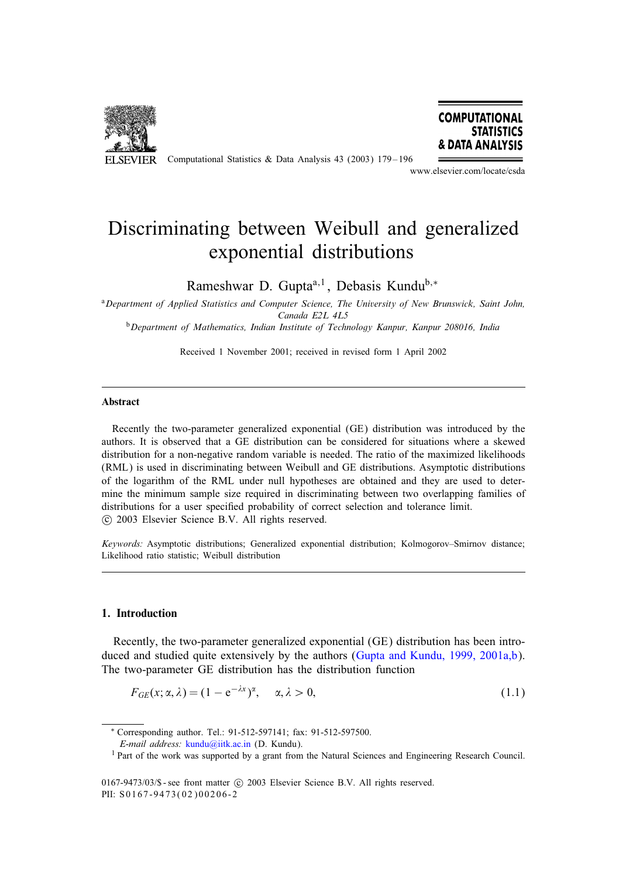

ELSEVIER Computational Statistics & Data Analysis 43 (2003) 179-196



www.elsevier.com/locate/csda

# Discriminating between Weibull and generalized exponential distributions

Rameshwar D. Gupta<sup>a,1</sup>, Debasis Kundu<sup>b,∗</sup>

<sup>a</sup>*Department of Applied Statistics and Computer Science, The University of New Brunswick, Saint John, Canada E2L 4L5*

<sup>b</sup>*Department of Mathematics, Indian Institute of Technology Kanpur, Kanpur 208016, India*

Received 1 November 2001; received in revised form 1 April 2002

#### Abstract

Recently the two-parameter generalized exponential (GE) distribution was introduced by the authors. It is observed that a GE distribution can be considered for situations where a skewed distribution for a non-negative random variable is needed. The ratio of the maximized likelihoods (RML) is used in discriminating between Weibull and GE distributions. Asymptotic distributions of the logarithm of the RML under null hypotheses are obtained and they are used to determine the minimum sample size required in discriminating between two overlapping families of distributions for a user specified probability of correct selection and tolerance limit. c 2003 Elsevier Science B.V. All rights reserved.

*Keywords:* Asymptotic distributions; Generalized exponential distribution; Kolmogorov–Smirnov distance; Likelihood ratio statistic; Weibull distribution

## 1. Introduction

Recently, the two-parameter generalized exponential (GE) distribution has been introduced and studied quite extensively by the authors [\(Gupta and Kundu, 1999, 2001a,b\)](#page-16-0). The two-parameter GE distribution has the distribution function

$$
F_{GE}(x; \alpha, \lambda) = (1 - e^{-\lambda x})^{\alpha}, \quad \alpha, \lambda > 0,
$$
\n(1.1)

<sup>∗</sup> Corresponding author. Tel.: 91-512-597141; fax: 91-512-597500.

*E-mail address:* [kundu@iitk.ac.in](mailto:kundu@iitk.ac.in) (D. Kundu).

<sup>&</sup>lt;sup>1</sup> Part of the work was supported by a grant from the Natural Sciences and Engineering Research Council.

<sup>0167-9473/03/\$ -</sup> see front matter  $\odot$  2003 Elsevier Science B.V. All rights reserved. PII: S0167-9473(02)00206-2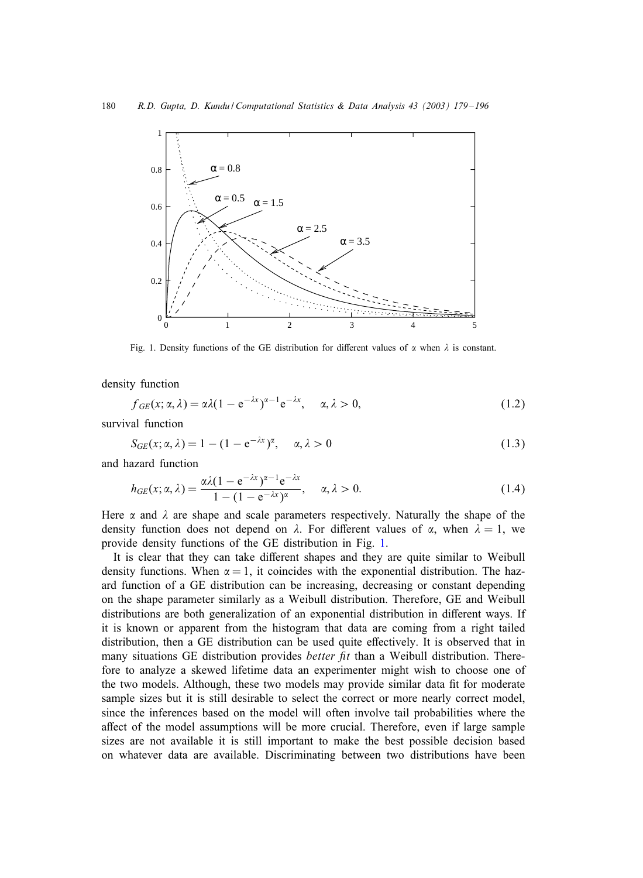

Fig. 1. Density functions of the GE distribution for different values of  $\alpha$  when  $\lambda$  is constant.

density function

$$
f_{GE}(x; \alpha, \lambda) = \alpha \lambda (1 - e^{-\lambda x})^{\alpha - 1} e^{-\lambda x}, \quad \alpha, \lambda > 0,
$$
\n(1.2)

survival function

$$
S_{GE}(x; \alpha, \lambda) = 1 - (1 - e^{-\lambda x})^{\alpha}, \quad \alpha, \lambda > 0
$$
\n(1.3)

and hazard function

$$
h_{GE}(x; \alpha, \lambda) = \frac{\alpha \lambda (1 - e^{-\lambda x})^{\alpha - 1} e^{-\lambda x}}{1 - (1 - e^{-\lambda x})^{\alpha}}, \quad \alpha, \lambda > 0.
$$
 (1.4)

Here  $\alpha$  and  $\lambda$  are shape and scale parameters respectively. Naturally the shape of the density function does not depend on  $\lambda$ . For different values of  $\alpha$ , when  $\lambda = 1$ , we provide density functions of the GE distribution in Fig. 1.

It is clear that they can take different shapes and they are quite similar to Weibull density functions. When  $\alpha = 1$ , it coincides with the exponential distribution. The hazard function of a GE distribution can be increasing, decreasing or constant depending on the shape parameter similarly as a Weibull distribution. Therefore, GE and Weibull distributions are both generalization of an exponential distribution in different ways. If it is known or apparent from the histogram that data are coming from a right tailed distribution, then a GE distribution can be used quite effectively. It is observed that in many situations GE distribution provides *better fit* than a Weibull distribution. Therefore to analyze a skewed lifetime data an experimenter might wish to choose one of the two models. Although, these two models may provide similar data fit for moderate sample sizes but it is still desirable to select the correct or more nearly correct model, since the inferences based on the model will often involve tail probabilities where the affect of the model assumptions will be more crucial. Therefore, even if large sample sizes are not available it is still important to make the best possible decision based on whatever data are available. Discriminating between two distributions have been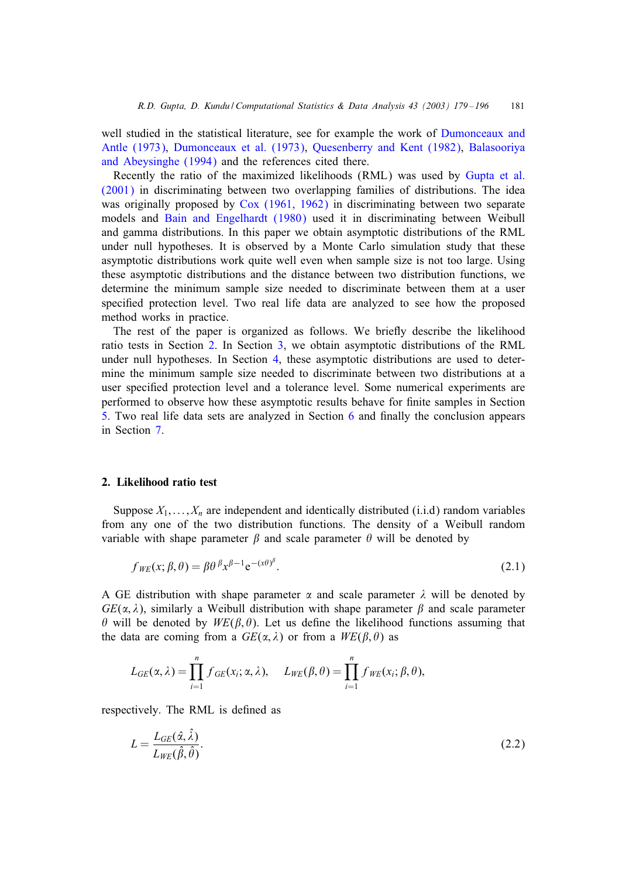<span id="page-2-0"></span>well studied in the statistical literature, see for example the work of [Dumonceaux and](#page-16-0) [Antle \(1973\),](#page-16-0) [Dumonceaux et al. \(1973\),](#page-16-0) [Quesenberry and Kent \(1982\),](#page-17-0) [Balasooriya](#page-16-0) [and Abeysinghe \(1994\)](#page-16-0) and the references cited there.

Recently the ratio of the maximized likelihoods (RML) was used by [Gupta et al.](#page-16-0) [\(2001\)](#page-16-0) in discriminating between two overlapping families of distributions. The idea was originally proposed by [Cox \(1961, 1962\)](#page-16-0) in discriminating between two separate models and [Bain and Engelhardt \(1980\)](#page-16-0) used it in discriminating between Weibull and gamma distributions. In this paper we obtain asymptotic distributions of the RML under null hypotheses. It is observed by a Monte Carlo simulation study that these asymptotic distributions work quite well even when sample size is not too large. Using these asymptotic distributions and the distance between two distribution functions, we determine the minimum sample size needed to discriminate between them at a user specified protection level. Two real life data are analyzed to see how the proposed method works in practice.

The rest of the paper is organized as follows. We brieHy describe the likelihood ratio tests in Section 2. In Section [3,](#page-3-0) we obtain asymptotic distributions of the RML under null hypotheses. In Section [4,](#page-8-0) these asymptotic distributions are used to determine the minimum sample size needed to discriminate between two distributions at a user specified protection level and a tolerance level. Some numerical experiments are performed to observe how these asymptotic results behave for finite samples in Section [5.](#page-10-0) Two real life data sets are analyzed in Section  $6$  and finally the conclusion appears in Section [7.](#page-15-0)

#### 2. Likelihood ratio test

Suppose  $X_1, \ldots, X_n$  are independent and identically distributed (i.i.d) random variables from any one of the two distribution functions. The density of a Weibull random variable with shape parameter  $\beta$  and scale parameter  $\theta$  will be denoted by

$$
f_{WE}(x; \beta, \theta) = \beta \theta^{\beta} x^{\beta - 1} e^{-(x\theta)^{\beta}}.
$$
\n(2.1)

A GE distribution with shape parameter  $\alpha$  and scale parameter  $\lambda$  will be denoted by  $GE(\alpha, \lambda)$ , similarly a Weibull distribution with shape parameter  $\beta$  and scale parameter  $\theta$  will be denoted by  $WE(\beta, \theta)$ . Let us define the likelihood functions assuming that the data are coming from a  $GE(\alpha, \lambda)$  or from a  $WE(\beta, \theta)$  as

$$
L_{GE}(\alpha,\lambda)=\prod_{i=1}^n f_{GE}(x_i;\alpha,\lambda), \quad L_{WE}(\beta,\theta)=\prod_{i=1}^n f_{WE}(x_i;\beta,\theta),
$$

respectively. The RML is defined as

$$
L = \frac{L_{GE}(\hat{\alpha}, \hat{\lambda})}{L_{WE}(\hat{\beta}, \hat{\theta})}.
$$
\n(2.2)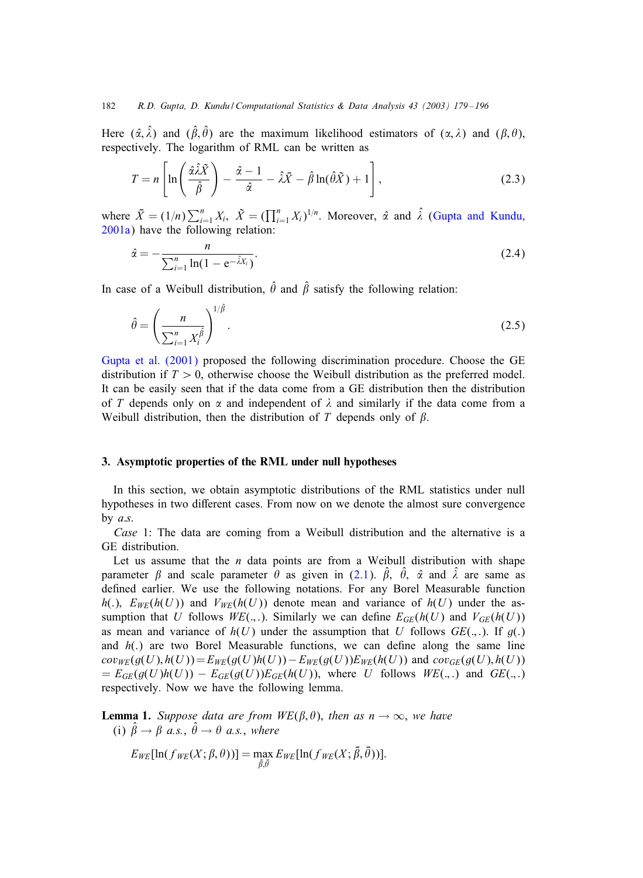<span id="page-3-0"></span>Here  $(\hat{\alpha}, \hat{\lambda})$  and  $(\hat{\beta}, \hat{\theta})$  are the maximum likelihood estimators of  $(\alpha, \lambda)$  and  $(\beta, \theta)$ , respectively. The logarithm of RML can be written as

$$
T = n \left[ \ln \left( \frac{\hat{\alpha} \hat{\lambda} \tilde{X}}{\hat{\beta}} \right) - \frac{\hat{\alpha} - 1}{\hat{\alpha}} - \hat{\lambda} \bar{X} - \hat{\beta} \ln(\hat{\theta} \tilde{X}) + 1 \right],
$$
 (2.3)

where  $\bar{X} = (1/n) \sum_{i=1}^{n} X_i$ ,  $\tilde{X} = (\prod_{i=1}^{n} X_i)^{1/n}$ . Moreover,  $\hat{\alpha}$  and  $\hat{\lambda}$  [\(Gupta and Kundu,](#page-16-0) [2001a\)](#page-16-0) have the following relation:

$$
\hat{\alpha} = -\frac{n}{\sum_{i=1}^{n} \ln(1 - e^{-\hat{\lambda}X_i})}.
$$
\n(2.4)

In case of a Weibull distribution,  $\hat{\theta}$  and  $\hat{\beta}$  satisfy the following relation:

$$
\hat{\theta} = \left(\frac{n}{\sum_{i=1}^{n} X_i^{\hat{\beta}}}\right)^{1/\hat{\beta}}.\tag{2.5}
$$

[Gupta et al. \(2001\)](#page-16-0) proposed the following discrimination procedure. Choose the GE distribution if  $T > 0$ , otherwise choose the Weibull distribution as the preferred model. It can be easily seen that if the data come from a GE distribution then the distribution of T depends only on  $\alpha$  and independent of  $\lambda$  and similarly if the data come from a Weibull distribution, then the distribution of  $T$  depends only of  $\beta$ .

## 3. Asymptotic properties of the RML under null hypotheses

In this section, we obtain asymptotic distributions of the RML statistics under null hypotheses in two different cases. From now on we denote the almost sure convergence by  $a.s.$ 

*Case* 1: The data are coming from a Weibull distribution and the alternative is a GE distribution.

Let us assume that the  $n$  data points are from a Weibull distribution with shape parameter  $\beta$  and scale parameter  $\hat{\theta}$  as given in [\(2.1\)](#page-2-0).  $\hat{\beta}$ ,  $\hat{\theta}$ ,  $\hat{\alpha}$  and  $\hat{\lambda}$  are same as defined earlier. We use the following notations. For any Borel Measurable function h(.),  $E_{WE}(h(U))$  and  $V_{WE}(h(U))$  denote mean and variance of  $h(U)$  under the assumption that U follows  $W E(.,.)$ . Similarly we can define  $E_{GE}(h(U))$  and  $V_{GE}(h(U))$ as mean and variance of  $h(U)$  under the assumption that U follows  $GE(.,.)$ . If  $g(.)$ and  $h(.)$  are two Borel Measurable functions, we can define along the same line  $cov_{WE}(g(U), h(U)) = E_{WE}(g(U)h(U)) - E_{WE}(g(U))E_{WE}(h(U))$  and  $cov_{GE}(g(U), h(U))$  $= E_{GE}(g(U)h(U)) - E_{GE}(g(U))E_{GE}(h(U))$ , where U follows  $W E(.,.)$  and  $GE(.,.)$ respectively. Now we have the following lemma.

**Lemma 1.** *Suppose data are from WE(* $\beta$ *,*  $\theta$ *), then as*  $n \to \infty$ *, we have* (i)  $\hat{\beta} \rightarrow \beta \stackrel{\text{d}}{a.s.}, \hat{\theta} \rightarrow \theta \stackrel{\text{d}}{a.s.}, where$ 

$$
E_{WE}[\ln(f_{WE}(X;\beta,\theta))] = \max_{\tilde{\beta},\tilde{\theta}} E_{WE}[\ln(f_{WE}(X;\tilde{\beta},\tilde{\theta}))].
$$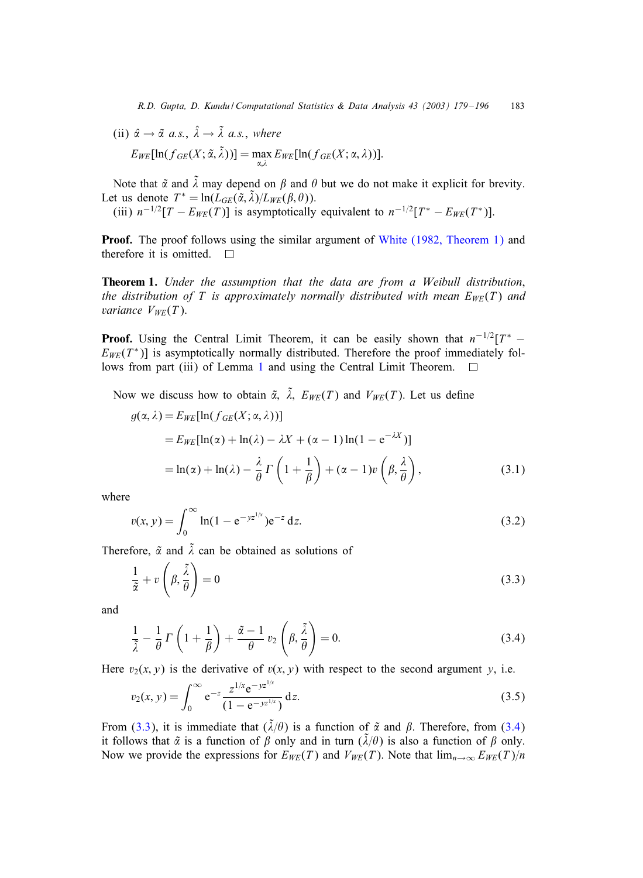<span id="page-4-0"></span>(ii) 
$$
\hat{\alpha} \to \tilde{\alpha} \text{ a.s., } \hat{\lambda} \to \tilde{\lambda} \text{ a.s., where}
$$
  
\n
$$
E_{WE}[\ln(f_{GE}(X; \tilde{\alpha}, \tilde{\lambda}))] = \max_{\alpha, \lambda} E_{WE}[\ln(f_{GE}(X; \alpha, \lambda))].
$$

Note that  $\tilde{\alpha}$  and  $\tilde{\lambda}$  may depend on  $\beta$  and  $\theta$  but we do not make it explicit for brevity. Let us denote  $T^* = \ln(L_{GE}(\tilde{\alpha}, \tilde{\lambda})/L_{WE}(\beta, \theta)).$ 

(iii)  $n^{-1/2}[T - E_{WE}(T)]$  is asymptotically equivalent to  $n^{-1/2}[T^* - E_{WE}(T^*)]$ .

Proof. The proof follows using the similar argument of [White \(1982, Theorem 1\)](#page-17-0) and therefore it is omitted.  $\square$ 

Theorem 1. *Under the assumption that the data are from a Weibull distribution*, *the distribution of* T *is approximately normally distributed with mean*  $E_{WE}(T)$  *and variance*  $V_{WE}(T)$ .

**Proof.** Using the Central Limit Theorem, it can be easily shown that  $n^{-1/2}[T^* E_{WE}(T^*)$ ] is asymptotically normally distributed. Therefore the proof immediately fol-lows from part (iii) of Lemma [1](#page-3-0) and using the Central Limit Theorem.  $\Box$ 

Now we discuss how to obtain  $\tilde{\alpha}$ ,  $\tilde{\lambda}$ ,  $E_{WE}(T)$  and  $V_{WE}(T)$ . Let us define

$$
g(\alpha, \lambda) = E_{WE}[\ln(f_{GE}(X; \alpha, \lambda))]
$$
  
=  $E_{WE}[\ln(\alpha) + \ln(\lambda) - \lambda X + (\alpha - 1) \ln(1 - e^{-\lambda X})]$   
=  $\ln(\alpha) + \ln(\lambda) - \frac{\lambda}{\theta} \Gamma\left(1 + \frac{1}{\beta}\right) + (\alpha - 1)v\left(\beta, \frac{\lambda}{\theta}\right),$  (3.1)

where

$$
v(x, y) = \int_0^\infty \ln(1 - e^{-yz^{1/x}}) e^{-z} dz.
$$
 (3.2)

Therefore,  $\tilde{\alpha}$  and  $\tilde{\lambda}$  can be obtained as solutions of

$$
\frac{1}{\tilde{\alpha}} + v\left(\beta, \frac{\tilde{\lambda}}{\theta}\right) = 0\tag{3.3}
$$

and

$$
\frac{1}{\tilde{\lambda}} - \frac{1}{\theta} \Gamma \left( 1 + \frac{1}{\beta} \right) + \frac{\tilde{\alpha} - 1}{\theta} v_2 \left( \beta, \frac{\tilde{\lambda}}{\theta} \right) = 0. \tag{3.4}
$$

Here  $v_2(x, y)$  is the derivative of  $v(x, y)$  with respect to the second argument y, i.e.

$$
v_2(x, y) = \int_0^\infty e^{-z} \frac{z^{1/x} e^{-yz^{1/x}}}{(1 - e^{-yz^{1/x}})} dz.
$$
 (3.5)

From (3.3), it is immediate that  $(\tilde{\lambda}/\theta)$  is a function of  $\tilde{\alpha}$  and  $\beta$ . Therefore, from (3.4) it follows that  $\tilde{\alpha}$  is a function of  $\beta$  only and in turn  $(\tilde{\lambda}/\theta)$  is also a function of  $\beta$  only. Now we provide the expressions for  $E_{WE}(T)$  and  $V_{WE}(T)$ . Note that  $\lim_{n\to\infty} E_{WE}(T)/n$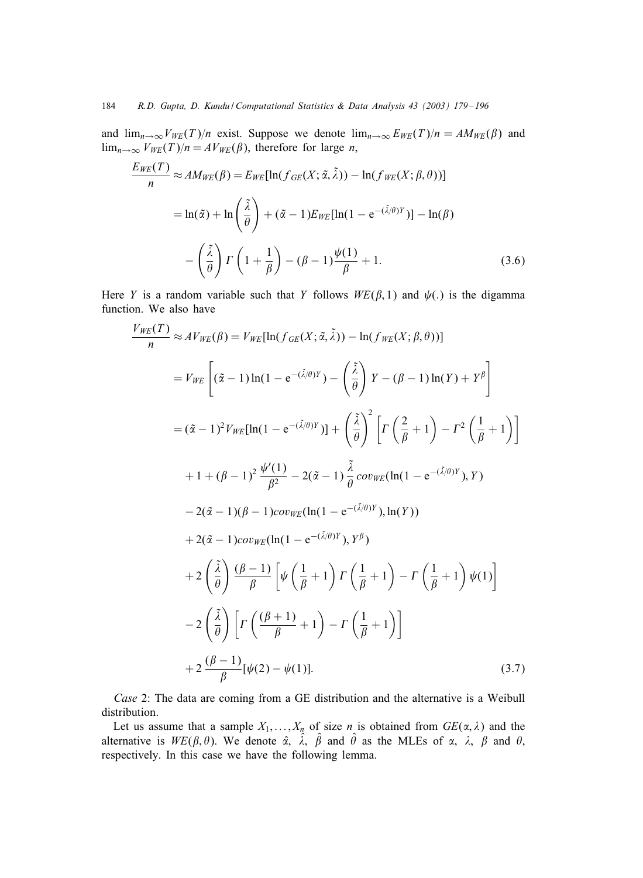<span id="page-5-0"></span>and  $\lim_{n\to\infty}V_{WE}(T)/n$  exist. Suppose we denote  $\lim_{n\to\infty}E_{WE}(T)/n = AM_{WE}(\beta)$  and  $\lim_{n\to\infty} V_{WE}(T)/n = AV_{WE}(\beta)$ , therefore for large *n*,

$$
\frac{E_{WE}(T)}{n} \approx AM_{WE}(\beta) = E_{WE}[\ln(f_{GE}(X; \tilde{\alpha}, \tilde{\lambda})) - \ln(f_{WE}(X; \beta, \theta))]
$$

$$
= \ln(\tilde{\alpha}) + \ln\left(\frac{\tilde{\lambda}}{\theta}\right) + (\tilde{\alpha} - 1)E_{WE}[\ln(1 - e^{-(\tilde{\lambda}/\theta)Y})] - \ln(\beta)
$$

$$
- \left(\frac{\tilde{\lambda}}{\theta}\right)\Gamma\left(1 + \frac{1}{\beta}\right) - (\beta - 1)\frac{\psi(1)}{\beta} + 1.
$$
(3.6)

Here Y is a random variable such that Y follows  $WE(\beta, 1)$  and  $\psi(.)$  is the digamma function. We also have

$$
\frac{V_{WE}(T)}{n} \approx AV_{WE}(\beta) = V_{WE}[\ln(f_{GE}(X; \tilde{\alpha}, \tilde{\lambda})) - \ln(f_{WE}(X; \beta, \theta))]
$$
\n
$$
= V_{WE}\left[ (\tilde{\alpha} - 1) \ln(1 - e^{-(\tilde{\lambda}/\theta)Y}) - (\frac{\tilde{\lambda}}{\theta}) Y - (\beta - 1) \ln(Y) + Y^{\beta} \right]
$$
\n
$$
= (\tilde{\alpha} - 1)^{2} V_{WE}[\ln(1 - e^{-(\tilde{\lambda}/\theta)Y})] + (\frac{\tilde{\lambda}}{\theta})^{2} \left[ \Gamma\left(\frac{2}{\beta} + 1\right) - \Gamma^{2}\left(\frac{1}{\beta} + 1\right) \right]
$$
\n
$$
+ 1 + (\beta - 1)^{2} \frac{\psi'(1)}{\beta^{2}} - 2(\tilde{\alpha} - 1) \frac{\tilde{\lambda}}{\theta} cov_{WE}(\ln(1 - e^{-(\tilde{\lambda}/\theta)Y}), Y)
$$
\n
$$
- 2(\tilde{\alpha} - 1)(\beta - 1) cov_{WE}(\ln(1 - e^{-(\tilde{\lambda}/\theta)Y}), \ln(Y))
$$
\n
$$
+ 2(\tilde{\alpha} - 1) cov_{WE}(\ln(1 - e^{-(\tilde{\lambda}/\theta)Y}), Y^{\beta})
$$
\n
$$
+ 2(\frac{\tilde{\lambda}}{\theta}) \frac{(\beta - 1)}{\beta} \left[ \psi\left(\frac{1}{\beta} + 1\right) \Gamma\left(\frac{1}{\beta} + 1\right) - \Gamma\left(\frac{1}{\beta} + 1\right) \psi(1) \right]
$$
\n
$$
- 2(\frac{\tilde{\lambda}}{\theta}) \left[ \Gamma\left(\frac{(\beta + 1)}{\beta} + 1\right) - \Gamma\left(\frac{1}{\beta} + 1\right) \right]
$$
\n
$$
+ 2 \frac{(\beta - 1)}{\beta} [\psi(2) - \psi(1)]. \tag{3.7}
$$

*Case* 2: The data are coming from a GE distribution and the alternative is a Weibull distribution.

Let us assume that a sample  $X_1, \ldots, X_n$  of size *n* is obtained from  $GE(\alpha, \lambda)$  and the alternative is  $WE(\beta, \theta)$ . We denote  $\hat{\alpha}$ ,  $\hat{\lambda}$ ,  $\hat{\beta}$  and  $\hat{\theta}$  as the MLEs of  $\alpha$ ,  $\lambda$ ,  $\beta$  and  $\theta$ , respectively. In this case we have the following lemma.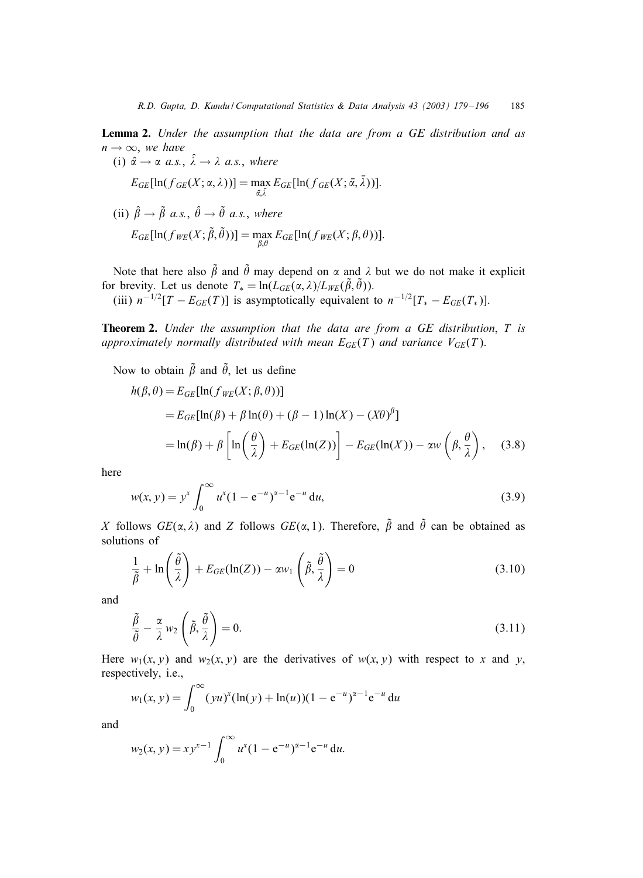<span id="page-6-0"></span>Lemma 2. *Under the assumption that the data are from a GE distribution and as*  $n \rightarrow \infty$ , we have

(i) 
$$
\hat{\alpha} \to \alpha
$$
 a.s.,  $\hat{\lambda} \to \lambda$  a.s., where  

$$
E_{GE}[\ln(f_{GE}(X; \alpha, \lambda))] = \max_{\tilde{\alpha}, \tilde{\lambda}} E_{GE}[\ln(f_{GE}(X; \tilde{\alpha}, \tilde{\lambda}))].
$$

(ii) 
$$
\hat{\beta} \rightarrow \tilde{\beta} a.s.
$$
,  $\hat{\theta} \rightarrow \tilde{\theta} a.s.$ , where  

$$
E_{GE}[\ln(f_{WE}(X; \tilde{\beta}, \tilde{\theta}))] = \max_{\beta, \theta} E_{GE}[\ln(f_{WE}(X; \beta, \theta))].
$$

Note that here also  $\tilde{\beta}$  and  $\tilde{\theta}$  may depend on  $\alpha$  and  $\lambda$  but we do not make it explicit for brevity. Let us denote  $T_* = \ln(L_{GE}(\alpha, \lambda)/L_{WE}(\tilde{\beta}, \tilde{\theta}))$ .

(iii)  $n^{-1/2}[T - E_{GE}(T)]$  is asymptotically equivalent to  $n^{-1/2}[T_* - E_{GE}(T_*)]$ .

Theorem 2. *Under the assumption that the data are from a GE distribution*, T *is approximately normally distributed with mean*  $E_{GE}(T)$  *and variance*  $V_{GE}(T)$ *.* 

Now to obtain  $\tilde{\beta}$  and  $\tilde{\theta}$ , let us define

$$
h(\beta, \theta) = E_{GE}[\ln(f_{WE}(X; \beta, \theta))]
$$
  
=  $E_{GE}[\ln(\beta) + \beta \ln(\theta) + (\beta - 1) \ln(X) - (X\theta)^{\beta}]$   
=  $\ln(\beta) + \beta \left[ \ln\left(\frac{\theta}{\lambda}\right) + E_{GE}(\ln(Z)) \right] - E_{GE}(\ln(X)) - \alpha w \left(\beta, \frac{\theta}{\lambda}\right),$  (3.8)

here

$$
w(x, y) = y^x \int_0^\infty u^x (1 - e^{-u})^{\alpha - 1} e^{-u} du,
$$
\n(3.9)

X follows  $GE(\alpha, \lambda)$  and Z follows  $GE(\alpha, 1)$ . Therefore,  $\tilde{\beta}$  and  $\tilde{\theta}$  can be obtained as solutions of

$$
\frac{1}{\tilde{\beta}} + \ln\left(\frac{\tilde{\theta}}{\lambda}\right) + E_{GE}(\ln(Z)) - \alpha w_1\left(\tilde{\beta}, \frac{\tilde{\theta}}{\lambda}\right) = 0
$$
\n(3.10)

and

$$
\frac{\tilde{\beta}}{\tilde{\theta}} - \frac{\alpha}{\lambda} w_2 \left( \tilde{\beta}, \frac{\tilde{\theta}}{\lambda} \right) = 0.
$$
\n(3.11)

Here  $w_1(x, y)$  and  $w_2(x, y)$  are the derivatives of  $w(x, y)$  with respect to x and y, respectively, i.e.,

$$
w_1(x, y) = \int_0^\infty (yu)^x (\ln(y) + \ln(u)) (1 - e^{-u})^{\alpha - 1} e^{-u} du
$$

and

$$
w_2(x, y) = xy^{x-1} \int_0^\infty u^x (1 - e^{-u})^{x-1} e^{-u} du.
$$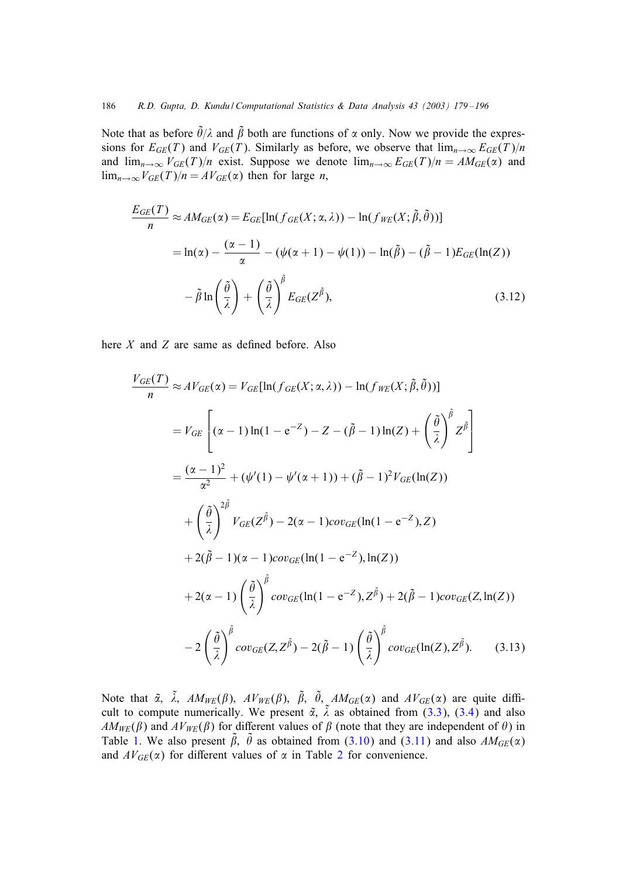<span id="page-7-0"></span>Note that as before  $\tilde{\theta}/\lambda$  and  $\tilde{\beta}$  both are functions of  $\alpha$  only. Now we provide the expressions for  $E_{GE}(T)$  and  $V_{GE}(T)$ . Similarly as before, we observe that  $\lim_{n\to\infty} E_{GE}(T)/n$ and  $\lim_{n\to\infty} V_{GE}(T)/n$  exist. Suppose we denote  $\lim_{n\to\infty} E_{GE}(T)/n = AM_{GE}(\alpha)$  and  $\lim_{n\to\infty}V_{GE}(T)/n = AV_{GE}(\alpha)$  then for large *n*,

$$
\frac{E_{GE}(T)}{n} \approx AM_{GE}(\alpha) = E_{GE}[\ln(f_{GE}(X; \alpha, \lambda)) - \ln(f_{WE}(X; \tilde{\beta}, \tilde{\theta}))]
$$
  
=  $\ln(\alpha) - \frac{(\alpha - 1)}{\alpha} - (\psi(\alpha + 1) - \psi(1)) - \ln(\tilde{\beta}) - (\tilde{\beta} - 1)E_{GE}(\ln(Z))$   

$$
- \tilde{\beta} \ln\left(\frac{\tilde{\theta}}{\lambda}\right) + \left(\frac{\tilde{\theta}}{\lambda}\right)^{\tilde{\beta}} E_{GE}(Z^{\tilde{\beta}}),
$$
(3.12)

here  $X$  and  $Z$  are same as defined before. Also

$$
\frac{V_{GE}(T)}{n} \approx AV_{GE}(\alpha) = V_{GE}[\ln(f_{GE}(X; \alpha, \lambda)) - \ln(f_{WE}(X; \tilde{\beta}, \tilde{\theta}))]
$$
  
\n
$$
= V_{GE} \left[ (\alpha - 1) \ln(1 - e^{-Z}) - Z - (\tilde{\beta} - 1) \ln(Z) + \left(\frac{\tilde{\theta}}{\lambda}\right)^{\tilde{\beta}} Z^{\tilde{\beta}} \right]
$$
  
\n
$$
= \frac{(\alpha - 1)^2}{\alpha^2} + (\psi'(1) - \psi'(\alpha + 1)) + (\tilde{\beta} - 1)^2 V_{GE}(\ln(Z))
$$
  
\n
$$
+ \left(\frac{\tilde{\theta}}{\lambda}\right)^{2\tilde{\beta}} V_{GE}(Z^{\tilde{\beta}}) - 2(\alpha - 1) cov_{GE}(\ln(1 - e^{-Z}), Z)
$$
  
\n
$$
+ 2(\tilde{\beta} - 1)(\alpha - 1) cov_{GE}(\ln(1 - e^{-Z}), \ln(Z))
$$
  
\n
$$
+ 2(\alpha - 1) \left(\frac{\tilde{\theta}}{\lambda}\right)^{\tilde{\beta}} cov_{GE}(\ln(1 - e^{-Z}), Z^{\tilde{\beta}}) + 2(\tilde{\beta} - 1) cov_{GE}(Z, \ln(Z))
$$
  
\n
$$
- 2 \left(\frac{\tilde{\theta}}{\lambda}\right)^{\tilde{\beta}} cov_{GE}(Z, Z^{\tilde{\beta}}) - 2(\tilde{\beta} - 1) \left(\frac{\tilde{\theta}}{\lambda}\right)^{\tilde{\beta}} cov_{GE}(\ln(Z), Z^{\tilde{\beta}}).
$$
 (3.13)

Note that  $\tilde{\alpha}$ ,  $\tilde{\lambda}$ ,  $AM_{WE}(\beta)$ ,  $AV_{WE}(\beta)$ ,  $\tilde{\beta}$ ,  $\tilde{\theta}$ ,  $AM_{GE}(\alpha)$  and  $AV_{GE}(\alpha)$  are quite difficult to compute numerically. We present  $\tilde{\alpha}$ ,  $\tilde{\lambda}$  as obtained from [\(3.3\)](#page-4-0), [\(3.4\)](#page-4-0) and also  $AM_{WE}(\beta)$  and  $AV_{WE}(\beta)$  for different values of  $\beta$  (note that they are independent of  $\theta$ ) in Table [1.](#page-8-0) We also present  $\tilde{\beta}$ ,  $\tilde{\theta}$  as obtained from [\(3.10\)](#page-6-0) and [\(3.11\)](#page-6-0) and also  $AM_{GE}(\alpha)$ and  $AV_{GE}(\alpha)$  for different values of  $\alpha$  in Table [2](#page-8-0) for convenience.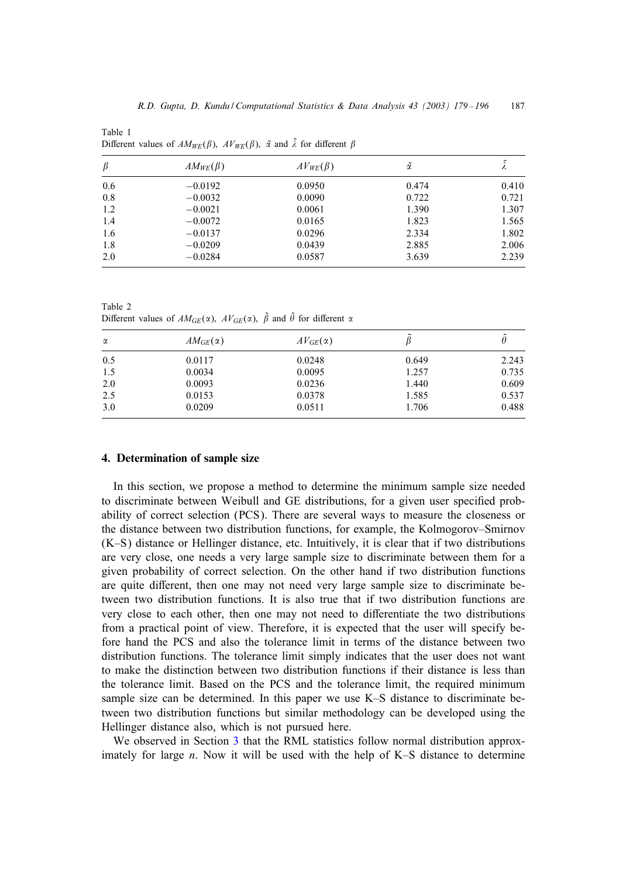<span id="page-8-0"></span>Table 1 Different values of  $AM_{WE}(\beta)$ ,  $AV_{WE}(\beta)$ ,  $\tilde{\alpha}$  and  $\tilde{\lambda}$  for different  $\beta$ 

| β   | $AM_{WE}(\beta)$ | $AV_{WE}(\beta)$ | ã     | Λ     |
|-----|------------------|------------------|-------|-------|
| 0.6 | $-0.0192$        | 0.0950           | 0.474 | 0.410 |
| 0.8 | $-0.0032$        | 0.0090           | 0.722 | 0.721 |
| 1.2 | $-0.0021$        | 0.0061           | 1.390 | 1.307 |
| 1.4 | $-0.0072$        | 0.0165           | 1.823 | 1.565 |
| 1.6 | $-0.0137$        | 0.0296           | 2.334 | 1.802 |
| 1.8 | $-0.0209$        | 0.0439           | 2.885 | 2.006 |
| 2.0 | $-0.0284$        | 0.0587           | 3.639 | 2.239 |

Table 2 Different values of  $AM_{GE}(\alpha)$ ,  $AV_{GE}(\alpha)$ ,  $\tilde{\beta}$  and  $\tilde{\theta}$  for different  $\alpha$ 

| $\alpha$ | $AM_{GE}(\alpha)$ | $AV_{GE}(\alpha)$ |       |       |  |
|----------|-------------------|-------------------|-------|-------|--|
| 0.5      | 0.0117            | 0.0248            | 0.649 | 2.243 |  |
| 1.5      | 0.0034            | 0.0095            | 1.257 | 0.735 |  |
| 2.0      | 0.0093            | 0.0236            | 1.440 | 0.609 |  |
| 2.5      | 0.0153            | 0.0378            | 1.585 | 0.537 |  |
| 3.0      | 0.0209            | 0.0511            | 1.706 | 0.488 |  |

## 4. Determination of sample size

In this section, we propose a method to determine the minimum sample size needed to discriminate between Weibull and GE distributions, for a given user specified probability of correct selection (PCS). There are several ways to measure the closeness or the distance between two distribution functions, for example, the Kolmogorov–Smirnov (K–S) distance or Hellinger distance, etc. Intuitively, it is clear that if two distributions are very close, one needs a very large sample size to discriminate between them for a given probability of correct selection. On the other hand if two distribution functions are quite different, then one may not need very large sample size to discriminate between two distribution functions. It is also true that if two distribution functions are very close to each other, then one may not need to diDerentiate the two distributions from a practical point of view. Therefore, it is expected that the user will specify before hand the PCS and also the tolerance limit in terms of the distance between two distribution functions. The tolerance limit simply indicates that the user does not want to make the distinction between two distribution functions if their distance is less than the tolerance limit. Based on the PCS and the tolerance limit, the required minimum sample size can be determined. In this paper we use K–S distance to discriminate between two distribution functions but similar methodology can be developed using the Hellinger distance also, which is not pursued here.

We observed in Section [3](#page-3-0) that the RML statistics follow normal distribution approximately for large  $n$ . Now it will be used with the help of K–S distance to determine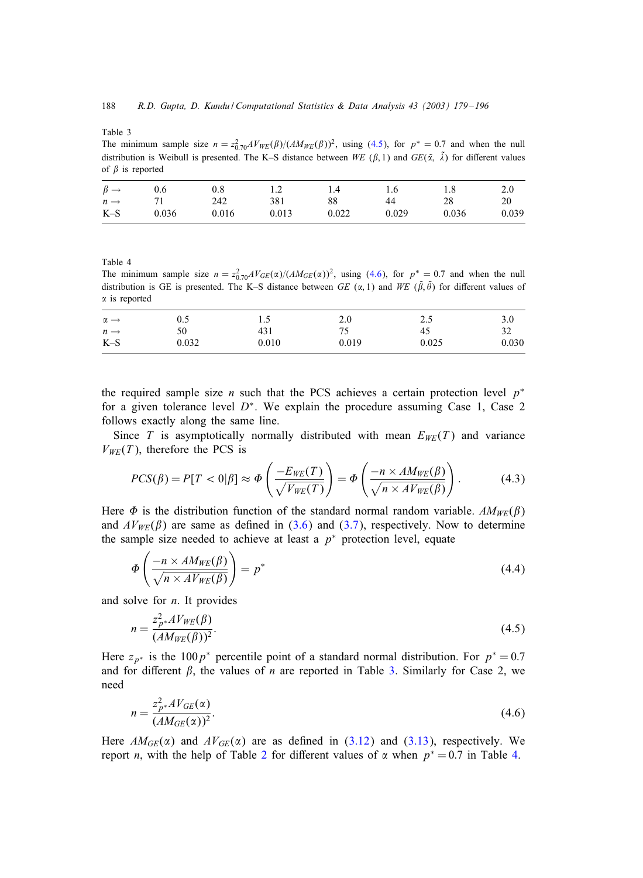<span id="page-9-0"></span>Table 3

The minimum sample size  $n = z_{0.70}^2 A V_{W E}(\beta)/(A M_{W E}(\beta))^2$ , using (4.5), for  $p^* = 0.7$  and when the null distribution is Weibull is presented. The K–S distance between WE ( $\beta$ , 1) and  $GE(\tilde{\alpha}, \tilde{\lambda})$  for different values of  $\beta$  is reported

| $\beta \rightarrow$ | 0.6   | 0.8   | 1.2   | 1.4   | 1.6   | 1.8   | 2.0   |
|---------------------|-------|-------|-------|-------|-------|-------|-------|
| $n \rightarrow$     | 71    | 242   | 381   | 88    | 44    | 28    | 20    |
| $K-S$               | 0.036 | 0.016 | 0.013 | 0.022 | 0.029 | 0.036 | 0.039 |

Table 4

The minimum sample size  $n = z_{0.70}^2 A V_{GE}(\alpha)/(A M_{GE}(\alpha))^2$ , using (4.6), for  $p^* = 0.7$  and when the null distribution is GE is presented. The K–S distance between GE  $(\alpha, 1)$  and WE  $(\tilde{\beta}, \tilde{\theta})$  for different values of  $\alpha$  is reported

| $\alpha \rightarrow$ | 0.5   | L.)   | 2.0   | 2.5   | 3.0   |
|----------------------|-------|-------|-------|-------|-------|
| $n \rightarrow$      | 50    | 431   | 75    | 45    | 32    |
| $K-S$                | 0.032 | 0.010 | 0.019 | 0.025 | 0.030 |

the required sample size *n* such that the PCS achieves a certain protection level  $p^*$ for a given tolerance level  $D^*$ . We explain the procedure assuming Case 1, Case 2 follows exactly along the same line.

Since T is asymptotically normally distributed with mean  $E_{WE}(T)$  and variance  $V_{WE}(T)$ , therefore the PCS is

$$
PCS(\beta) = P[T < 0 | \beta] \approx \Phi\left(\frac{-E_{WE}(T)}{\sqrt{V_{WE}(T)}}\right) = \Phi\left(\frac{-n \times AM_{WE}(\beta)}{\sqrt{n \times AV_{WE}(\beta)}}\right). \tag{4.3}
$$

Here  $\Phi$  is the distribution function of the standard normal random variable.  $AM_{WE}(\beta)$ and  $AV_{WE}(\beta)$  are same as defined in [\(3.6\)](#page-5-0) and [\(3.7\)](#page-5-0), respectively. Now to determine the sample size needed to achieve at least a  $p^*$  protection level, equate

$$
\Phi\left(\frac{-n \times AM_{WE}(\beta)}{\sqrt{n \times AV_{WE}(\beta)}}\right) = p^*
$$
\n(4.4)

and solve for  $n$ . It provides

$$
n = \frac{z_{p^*}^2 A V_{WE}(\beta)}{(AM_{WE}(\beta))^2}.
$$
\n(4.5)

Here  $z_{p*}$  is the 100  $p*$  percentile point of a standard normal distribution. For  $p* = 0.7$ and for different  $\beta$ , the values of *n* are reported in Table 3. Similarly for Case 2, we need

$$
n = \frac{z_{p^*}^2 A V_{GE}(\alpha)}{(AM_{GE}(\alpha))^2}.
$$
\n(4.6)

Here  $AM_{GE}(\alpha)$  and  $AV_{GE}(\alpha)$  are as defined in [\(3.12\)](#page-7-0) and [\(3.13\)](#page-7-0), respectively. We report *n*, with the help of Table [2](#page-8-0) for different values of  $\alpha$  when  $p^* = 0.7$  in Table 4.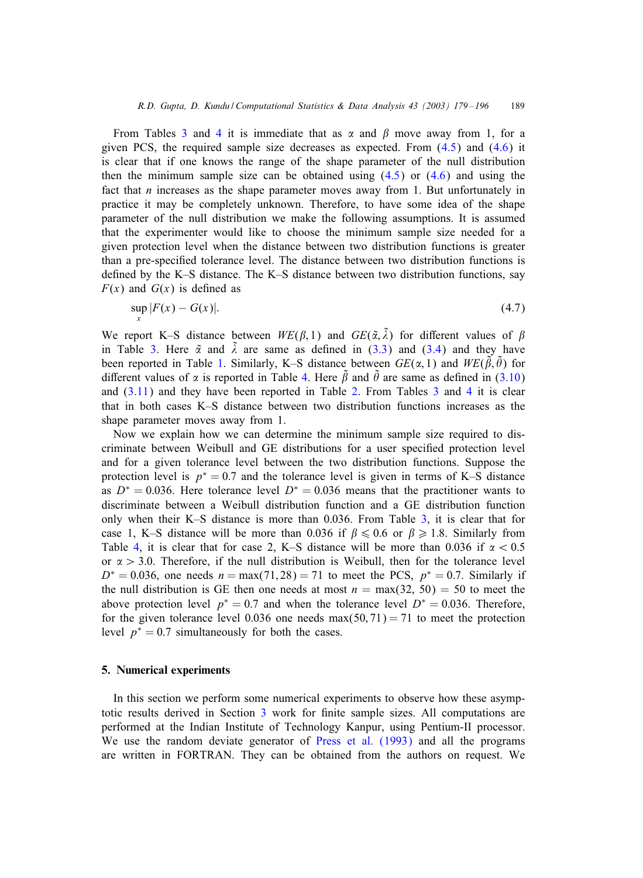<span id="page-10-0"></span>From Tables [3](#page-9-0) and [4](#page-9-0) it is immediate that as  $\alpha$  and  $\beta$  move away from 1, for a given PCS, the required sample size decreases as expected. From [\(4.5\)](#page-9-0) and [\(4.6\)](#page-9-0) it is clear that if one knows the range of the shape parameter of the null distribution then the minimum sample size can be obtained using  $(4.5)$  or  $(4.6)$  and using the fact that  $n$  increases as the shape parameter moves away from 1. But unfortunately in practice it may be completely unknown. Therefore, to have some idea of the shape parameter of the null distribution we make the following assumptions. It is assumed that the experimenter would like to choose the minimum sample size needed for a given protection level when the distance between two distribution functions is greater than a pre-specified tolerance level. The distance between two distribution functions is defined by the K–S distance. The K–S distance between two distribution functions, say  $F(x)$  and  $G(x)$  is defined as

$$
\sup_{x} |F(x) - G(x)|. \tag{4.7}
$$

We report K–S distance between  $WE(\beta, 1)$  and  $GE(\tilde{\alpha}, \tilde{\lambda})$  for different values of  $\beta$ in Table [3.](#page-9-0) Here  $\tilde{\alpha}$  and  $\tilde{\lambda}$  are same as defined in [\(3.3\)](#page-4-0) and [\(3.4\)](#page-4-0) and they have been reported in Table [1.](#page-8-0) Similarly, K–S distance between  $GE(\alpha, 1)$  and  $WE(\tilde{\beta}, \tilde{\theta})$  for different values of  $\alpha$  is reported in Table [4.](#page-9-0) Here  $\tilde{\beta}$  and  $\tilde{\theta}$  are same as defined in [\(3.10\)](#page-6-0) and  $(3.11)$  and they have been reported in Table [2.](#page-8-0) From Tables [3](#page-9-0) and [4](#page-9-0) it is clear that in both cases K–S distance between two distribution functions increases as the shape parameter moves away from 1.

Now we explain how we can determine the minimum sample size required to discriminate between Weibull and GE distributions for a user specified protection level and for a given tolerance level between the two distribution functions. Suppose the protection level is  $p^* = 0.7$  and the tolerance level is given in terms of K–S distance as  $D^* = 0.036$ . Here tolerance level  $D^* = 0.036$  means that the practitioner wants to discriminate between a Weibull distribution function and a GE distribution function only when their K–S distance is more than 0:036. From Table [3,](#page-9-0) it is clear that for case 1, K–S distance will be more than 0.036 if  $\beta \le 0.6$  or  $\beta \ge 1.8$ . Similarly from Table [4,](#page-9-0) it is clear that for case 2, K–S distance will be more than 0.036 if  $\alpha < 0.5$ or  $\alpha > 3.0$ . Therefore, if the null distribution is Weibull, then for the tolerance level  $D^* = 0.036$ , one needs  $n = max(71, 28) = 71$  to meet the PCS,  $p^* = 0.7$ . Similarly if the null distribution is GE then one needs at most  $n = max(32, 50) = 50$  to meet the above protection level  $p^* = 0.7$  and when the tolerance level  $D^* = 0.036$ . Therefore, for the given tolerance level 0.036 one needs  $max(50, 71) = 71$  to meet the protection level  $p^* = 0.7$  simultaneously for both the cases.

## 5. Numerical experiments

In this section we perform some numerical experiments to observe how these asymptotic results derived in Section  $3$  work for finite sample sizes. All computations are performed at the Indian Institute of Technology Kanpur, using Pentium-II processor. We use the random deviate generator of [Press et al. \(1993\)](#page-17-0) and all the programs are written in FORTRAN. They can be obtained from the authors on request. We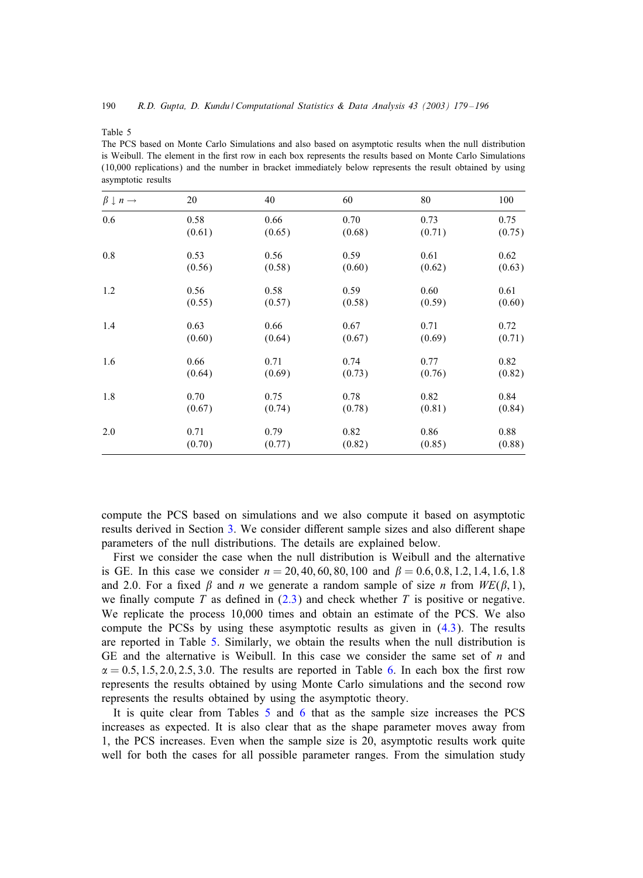Table 5

| asymptotic results               |        |        |        |        |        |  |
|----------------------------------|--------|--------|--------|--------|--------|--|
| $\beta \downarrow n \rightarrow$ | 20     | 40     | 60     | 80     | 100    |  |
| 0.6                              | 0.58   | 0.66   | 0.70   | 0.73   | 0.75   |  |
|                                  | (0.61) | (0.65) | (0.68) | (0.71) | (0.75) |  |
| 0.8                              | 0.53   | 0.56   | 0.59   | 0.61   | 0.62   |  |
|                                  | (0.56) | (0.58) | (0.60) | (0.62) | (0.63) |  |
| 1.2                              | 0.56   | 0.58   | 0.59   | 0.60   | 0.61   |  |
|                                  | (0.55) | (0.57) | (0.58) | (0.59) | (0.60) |  |
| 1.4                              | 0.63   | 0.66   | 0.67   | 0.71   | 0.72   |  |
|                                  | (0.60) | (0.64) | (0.67) | (0.69) | (0.71) |  |
| 1.6                              | 0.66   | 0.71   | 0.74   | 0.77   | 0.82   |  |
|                                  | (0.64) | (0.69) | (0.73) | (0.76) | (0.82) |  |
| 1.8                              | 0.70   | 0.75   | 0.78   | 0.82   | 0.84   |  |
|                                  | (0.67) | (0.74) | (0.78) | (0.81) | (0.84) |  |
| 2.0                              | 0.71   | 0.79   | 0.82   | 0.86   | 0.88   |  |
|                                  | (0.70) | (0.77) | (0.82) | (0.85) | (0.88) |  |

The PCS based on Monte Carlo Simulations and also based on asymptotic results when the null distribution is Weibull. The element in the first row in each box represents the results based on Monte Carlo Simulations (10,000 replications) and the number in bracket immediately below represents the result obtained by using

compute the PCS based on simulations and we also compute it based on asymptotic results derived in Section [3.](#page-3-0) We consider different sample sizes and also different shape parameters of the null distributions. The details are explained below.

First we consider the case when the null distribution is Weibull and the alternative is GE. In this case we consider  $n = 20, 40, 60, 80, 100$  and  $\beta = 0.6, 0.8, 1.2, 1.4, 1.6, 1.8$ and 2.0. For a fixed  $\beta$  and n we generate a random sample of size n from  $WE(\beta, 1)$ , we finally compute T as defined in  $(2.3)$  and check whether T is positive or negative. We replicate the process 10,000 times and obtain an estimate of the PCS. We also compute the PCSs by using these asymptotic results as given in [\(4.3\)](#page-9-0). The results are reported in Table 5. Similarly, we obtain the results when the null distribution is GE and the alternative is Weibull. In this case we consider the same set of  $n$  and  $\alpha = 0.5, 1.5, 2.0, 2.5, 3.0$ . The results are reported in Table [6.](#page-12-0) In each box the first row represents the results obtained by using Monte Carlo simulations and the second row represents the results obtained by using the asymptotic theory.

It is quite clear from Tables 5 and [6](#page-12-0) that as the sample size increases the PCS increases as expected. It is also clear that as the shape parameter moves away from 1, the PCS increases. Even when the sample size is 20, asymptotic results work quite well for both the cases for all possible parameter ranges. From the simulation study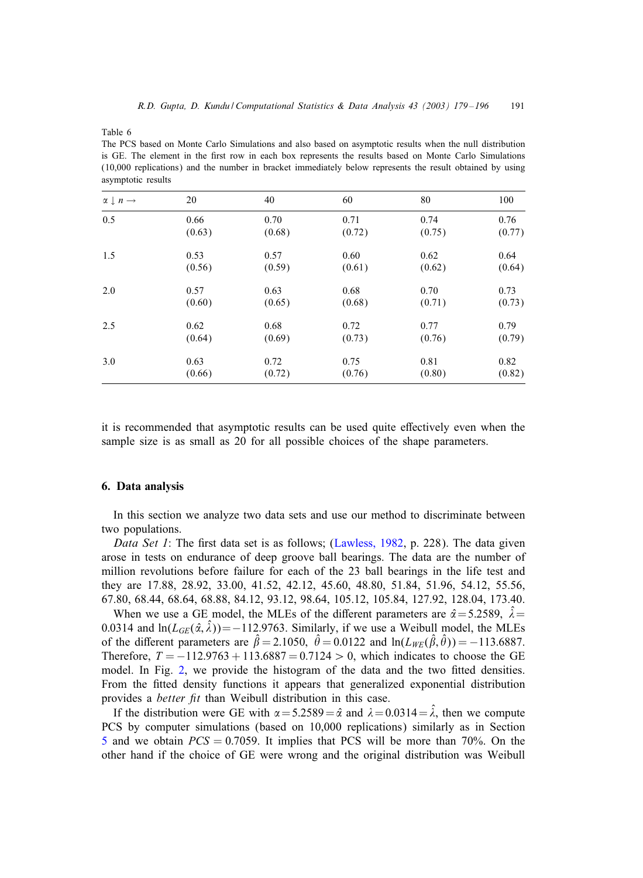<span id="page-12-0"></span>Table 6

The PCS based on Monte Carlo Simulations and also based on asymptotic results when the null distribution is GE. The element in the first row in each box represents the results based on Monte Carlo Simulations (10,000 replications) and the number in bracket immediately below represents the result obtained by using asymptotic results

| $\alpha \downarrow n \rightarrow$ | 20     | 40     | 60     | 80     | 100    |
|-----------------------------------|--------|--------|--------|--------|--------|
| 0.5                               | 0.66   | 0.70   | 0.71   | 0.74   | 0.76   |
|                                   | (0.63) | (0.68) | (0.72) | (0.75) | (0.77) |
| 1.5                               | 0.53   | 0.57   | 0.60   | 0.62   | 0.64   |
|                                   | (0.56) | (0.59) | (0.61) | (0.62) | (0.64) |
| 2.0                               | 0.57   | 0.63   | 0.68   | 0.70   | 0.73   |
|                                   | (0.60) | (0.65) | (0.68) | (0.71) | (0.73) |
| 2.5                               | 0.62   | 0.68   | 0.72   | 0.77   | 0.79   |
|                                   | (0.64) | (0.69) | (0.73) | (0.76) | (0.79) |
| 3.0                               | 0.63   | 0.72   | 0.75   | 0.81   | 0.82   |
|                                   | (0.66) | (0.72) | (0.76) | (0.80) | (0.82) |

it is recommended that asymptotic results can be used quite effectively even when the sample size is as small as 20 for all possible choices of the shape parameters.

#### 6. Data analysis

In this section we analyze two data sets and use our method to discriminate between two populations.

*Data Set 1*: The first data set is as follows; [\(Lawless, 1982,](#page-17-0) p. 228). The data given arose in tests on endurance of deep groove ball bearings. The data are the number of million revolutions before failure for each of the 23 ball bearings in the life test and they are 17.88, 28.92, 33.00, 41.52, 42.12, 45.60, 48.80, 51.84, 51.96, 54.12, 55.56, 67.80, 68.44, 68.64, 68.88, 84.12, 93.12, 98.64, 105.12, 105.84, 127.92, 128.04, 173.40.

When we use a GE model, the MLEs of the different parameters are  $\hat{\alpha} = 5.2589$ ,  $\hat{\lambda} =$ 0.0314 and  $\ln(L_{GE}(\hat{\alpha}, \hat{\lambda})) = -112.9763$ . Similarly, if we use a Weibull model, the MLEs of the different parameters are  $\hat{\beta} = 2.1050$ ,  $\hat{\theta} = 0.0122$  and  $\ln(L_{WE}(\hat{\beta}, \hat{\theta})) = -113.6887$ . Therefore,  $T = -112.9763 + 113.6887 = 0.7124 > 0$ , which indicates to choose the GE model. In Fig.  $2$ , we provide the histogram of the data and the two fitted densities. From the fitted density functions it appears that generalized exponential distribution provides a *better fit* than Weibull distribution in this case.

If the distribution were GE with  $\alpha = 5.2589 = \hat{\alpha}$  and  $\lambda = 0.0314 = \hat{\lambda}$ , then we compute PCS by computer simulations (based on 10,000 replications) similarly as in Section [5](#page-10-0) and we obtain  $PCS = 0.7059$ . It implies that PCS will be more than 70%. On the other hand if the choice of GE were wrong and the original distribution was Weibull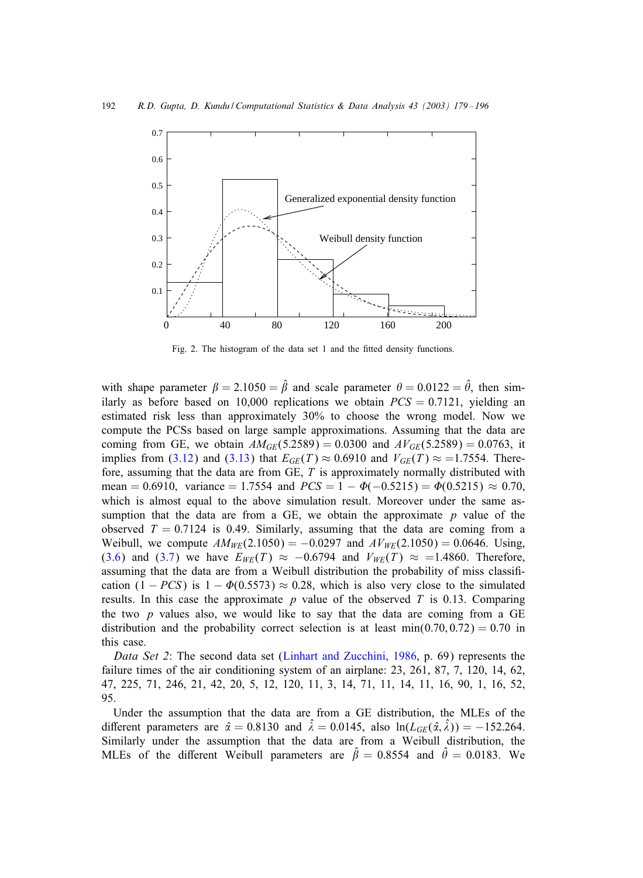<span id="page-13-0"></span>

Fig. 2. The histogram of the data set 1 and the fitted density functions.

with shape parameter  $\beta = 2.1050 = \hat{\beta}$  and scale parameter  $\theta = 0.0122 = \hat{\theta}$ , then similarly as before based on 10,000 replications we obtain  $PCS = 0.7121$ , yielding an estimated risk less than approximately 30% to choose the wrong model. Now we compute the PCSs based on large sample approximations. Assuming that the data are coming from GE, we obtain  $AM_{GE}(5.2589) = 0.0300$  and  $AV_{GE}(5.2589) = 0.0763$ , it implies from [\(3.12\)](#page-7-0) and [\(3.13\)](#page-7-0) that  $E_{GE}(T) \approx 0.6910$  and  $V_{GE}(T) \approx 1.7554$ . Therefore, assuming that the data are from GE, T is approximately normally distributed with mean = 0.6910, variance = 1.7554 and  $PCS = 1 - \Phi(-0.5215) = \Phi(0.5215) \approx 0.70$ , which is almost equal to the above simulation result. Moreover under the same assumption that the data are from a GE, we obtain the approximate  $p$  value of the observed  $T = 0.7124$  is 0.49. Similarly, assuming that the data are coming from a Weibull, we compute  $AM_{WE}(2.1050) = -0.0297$  and  $AV_{WE}(2.1050) = 0.0646$ . Using, [\(3.6\)](#page-5-0) and [\(3.7\)](#page-5-0) we have  $E_{WE}(T) \approx -0.6794$  and  $V_{WE}(T) \approx =1.4860$ . Therefore, assuming that the data are from a Weibull distribution the probability of miss classification  $(1 - PCS)$  is  $1 - \Phi(0.5573) \approx 0.28$ , which is also very close to the simulated results. In this case the approximate  $p$  value of the observed  $T$  is 0.13. Comparing the two  $p$  values also, we would like to say that the data are coming from a GE distribution and the probability correct selection is at least  $min(0.70, 0.72) = 0.70$  in this case.

*Data Set 2*: The second data set [\(Linhart and Zucchini, 1986,](#page-17-0) p. 69) represents the failure times of the air conditioning system of an airplane: 23, 261, 87, 7, 120, 14, 62, 47, 225, 71, 246, 21, 42, 20, 5, 12, 120, 11, 3, 14, 71, 11, 14, 11, 16, 90, 1, 16, 52, 95.

Under the assumption that the data are from a GE distribution, the MLEs of the different parameters are  $\hat{\alpha} = 0.8130$  and  $\hat{\lambda} = 0.0145$ , also  $\ln(L_{GE}(\hat{\alpha}, \hat{\lambda})) = -152.264$ . Similarly under the assumption that the data are from a Weibull distribution, the MLEs of the different Weibull parameters are  $\hat{\beta} = 0.8554$  and  $\hat{\theta} = 0.0183$ . We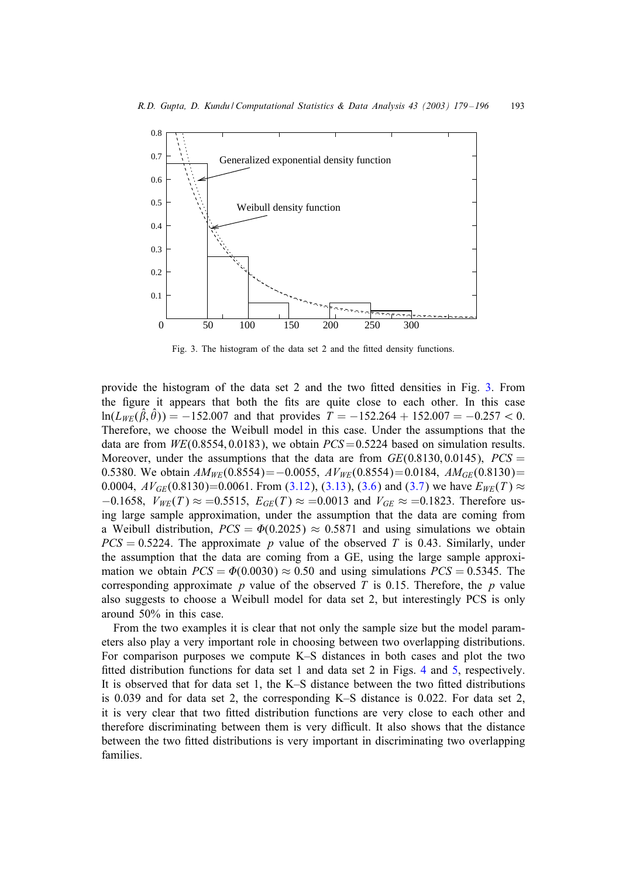

Fig. 3. The histogram of the data set 2 and the fitted density functions.

provide the histogram of the data set  $2$  and the two fitted densities in Fig.  $3$ . From the figure it appears that both the fits are quite close to each other. In this case  $ln(L_{WE}(\hat{\beta}, \hat{\theta})) = -152.007$  and that provides  $\hat{T} = -152.264 + 152.007 = -0.257 < 0.$ Therefore, we choose the Weibull model in this case. Under the assumptions that the data are from  $WE(0.8554, 0.0183)$ , we obtain  $PCS = 0.5224$  based on simulation results. Moreover, under the assumptions that the data are from  $GE(0.8130, 0.0145)$ ,  $PCS =$ 0.5380. We obtain  $AM_{WE}(0.8554) = -0.0055$ ,  $AV_{WE}(0.8554) = 0.0184$ ,  $AM_{GE}(0.8130) =$ 0.0004,  $AV_{GE}(0.8130)=0.0061$ . From [\(3.12\)](#page-7-0), [\(3.13\)](#page-7-0), [\(3.6\)](#page-5-0) and [\(3.7\)](#page-5-0) we have  $E_{WE}(T) \approx$  $-0.1658$ ,  $V_{WE}(T) \approx 0.5515$ ,  $E_{GE}(T) \approx 0.0013$  and  $V_{GE} \approx 0.1823$ . Therefore using large sample approximation, under the assumption that the data are coming from a Weibull distribution,  $PCS = \Phi(0.2025) \approx 0.5871$  and using simulations we obtain  $PCS = 0.5224$ . The approximate p value of the observed T is 0.43. Similarly, under the assumption that the data are coming from a GE, using the large sample approximation we obtain  $PCS = \Phi(0.0030) \approx 0.50$  and using simulations  $PCS = 0.5345$ . The corresponding approximate  $p$  value of the observed  $T$  is 0.15. Therefore, the  $p$  value also suggests to choose a Weibull model for data set 2, but interestingly PCS is only around 50% in this case.

From the two examples it is clear that not only the sample size but the model parameters also play a very important role in choosing between two overlapping distributions. For comparison purposes we compute K–S distances in both cases and plot the two fitted distribution functions for data set 1 and data set 2 in Figs. [4](#page-15-0) and [5,](#page-15-0) respectively. It is observed that for data set 1, the  $K-S$  distance between the two fitted distributions is 0.039 and for data set 2, the corresponding K–S distance is 0.022. For data set 2, it is very clear that two fitted distribution functions are very close to each other and therefore discriminating between them is very difficult. It also shows that the distance between the two fitted distributions is very important in discriminating two overlapping families.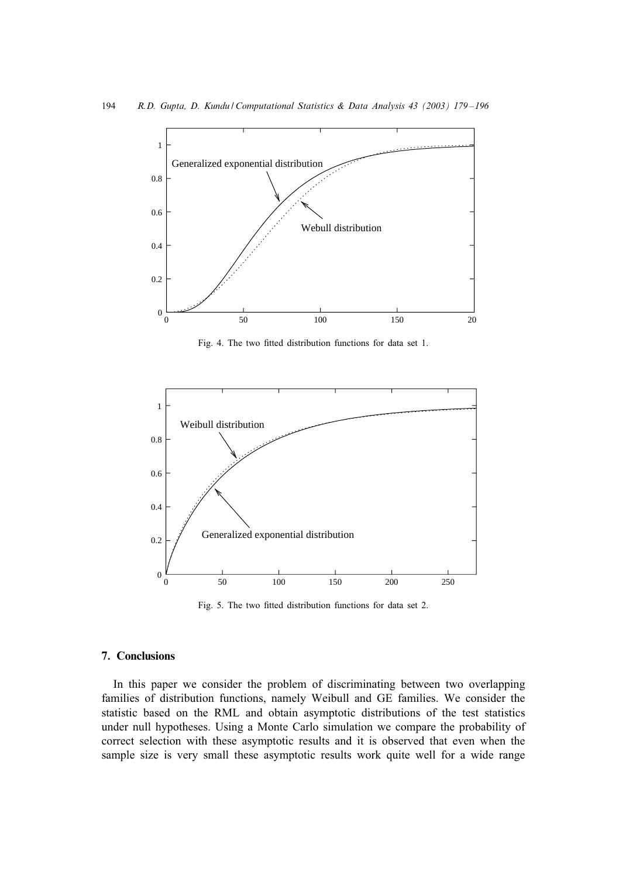<span id="page-15-0"></span>

Fig. 4. The two fitted distribution functions for data set 1.



Fig. 5. The two fitted distribution functions for data set 2.

## 7. Conclusions

In this paper we consider the problem of discriminating between two overlapping families of distribution functions, namely Weibull and GE families. We consider the statistic based on the RML and obtain asymptotic distributions of the test statistics under null hypotheses. Using a Monte Carlo simulation we compare the probability of correct selection with these asymptotic results and it is observed that even when the sample size is very small these asymptotic results work quite well for a wide range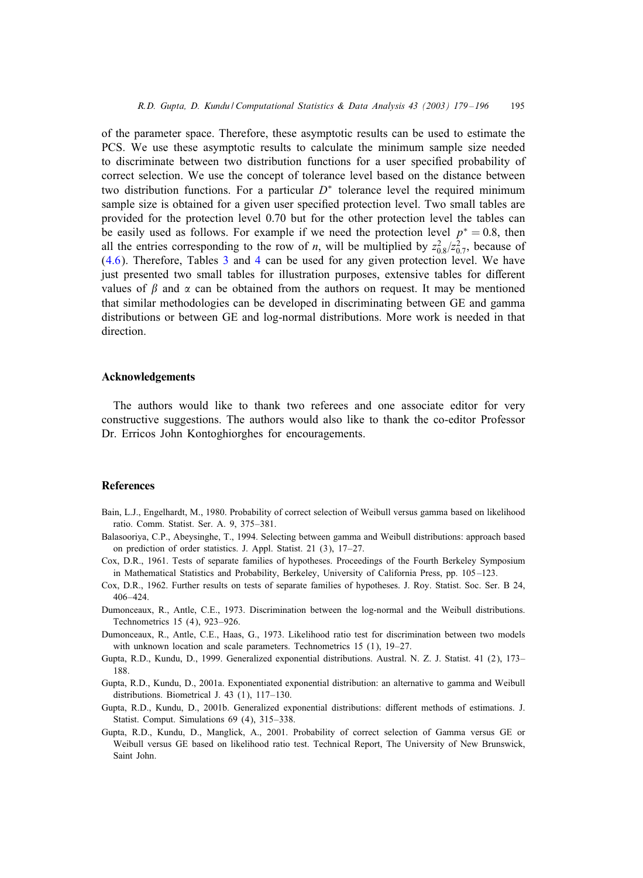<span id="page-16-0"></span>of the parameter space. Therefore, these asymptotic results can be used to estimate the PCS. We use these asymptotic results to calculate the minimum sample size needed to discriminate between two distribution functions for a user specified probability of correct selection. We use the concept of tolerance level based on the distance between two distribution functions. For a particular  $D^*$  tolerance level the required minimum sample size is obtained for a given user specified protection level. Two small tables are provided for the protection level 0:70 but for the other protection level the tables can be easily used as follows. For example if we need the protection level  $p^* = 0.8$ , then all the entries corresponding to the row of *n*, will be multiplied by  $z_{0.8}^2/z_{0.7}^2$ , because of [\(4.6\)](#page-9-0). Therefore, Tables [3](#page-9-0) and [4](#page-9-0) can be used for any given protection level. We have just presented two small tables for illustration purposes, extensive tables for different values of  $\beta$  and  $\alpha$  can be obtained from the authors on request. It may be mentioned that similar methodologies can be developed in discriminating between GE and gamma distributions or between GE and log-normal distributions. More work is needed in that direction.

## Acknowledgements

The authors would like to thank two referees and one associate editor for very constructive suggestions. The authors would also like to thank the co-editor Professor Dr. Erricos John Kontoghiorghes for encouragements.

#### References

- Bain, L.J., Engelhardt, M., 1980. Probability of correct selection of Weibull versus gamma based on likelihood ratio. Comm. Statist. Ser. A. 9, 375–381.
- Balasooriya, C.P., Abeysinghe, T., 1994. Selecting between gamma and Weibull distributions: approach based on prediction of order statistics. J. Appl. Statist. 21 (3), 17–27.
- Cox, D.R., 1961. Tests of separate families of hypotheses. Proceedings of the Fourth Berkeley Symposium in Mathematical Statistics and Probability, Berkeley, University of California Press, pp. 105 –123.
- Cox, D.R., 1962. Further results on tests of separate families of hypotheses. J. Roy. Statist. Soc. Ser. B 24, 406–424.
- Dumonceaux, R., Antle, C.E., 1973. Discrimination between the log-normal and the Weibull distributions. Technometrics 15 (4), 923–926.
- Dumonceaux, R., Antle, C.E., Haas, G., 1973. Likelihood ratio test for discrimination between two models with unknown location and scale parameters. Technometrics 15 (1), 19-27.
- Gupta, R.D., Kundu, D., 1999. Generalized exponential distributions. Austral. N. Z. J. Statist. 41 (2), 173– 188.
- Gupta, R.D., Kundu, D., 2001a. Exponentiated exponential distribution: an alternative to gamma and Weibull distributions. Biometrical J. 43 (1), 117–130.
- Gupta, R.D., Kundu, D., 2001b. Generalized exponential distributions: different methods of estimations. J. Statist. Comput. Simulations 69 (4), 315–338.
- Gupta, R.D., Kundu, D., Manglick, A., 2001. Probability of correct selection of Gamma versus GE or Weibull versus GE based on likelihood ratio test. Technical Report, The University of New Brunswick, Saint John.